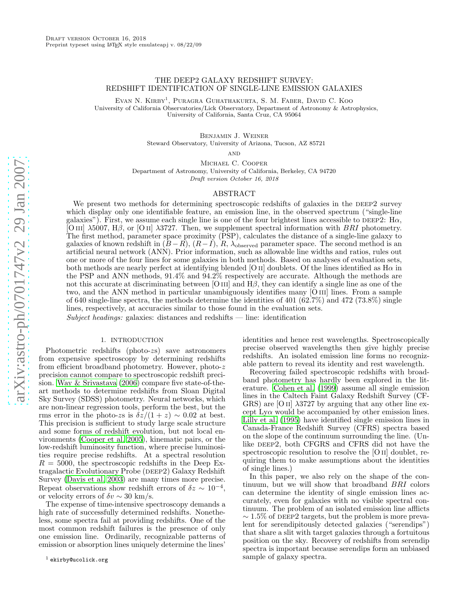# THE DEEP2 GALAXY REDSHIFT SURVEY: REDSHIFT IDENTIFICATION OF SINGLE-LINE EMISSION GALAXIES

Evan N. Kirby 1 , Puragra Guhathakurta, S. M. Faber, David C. Koo University of California Observatories/Lick Observatory, Department of Astronomy & Astrophysics, University of California, Santa Cruz, CA 95064

> Benjamin J. Weiner Steward Observatory, University of Arizona, Tucson, AZ 85721

> > **AND**

Michael C. Cooper Department of Astronomy, University of California, Berkeley, CA 94720 Draft version October 16, 2018

## ABSTRACT

We present two methods for determining spectroscopic redshifts of galaxies in the DEEP2 survey which display only one identifiable feature, an emission line, in the observed spectrum ("single-line galaxies"). First, we assume each single line is one of the four brightest lines accessible to DEEP2: H $\alpha$ , [O III]  $\lambda$ 5007, H $\beta$ , or [O II]  $\lambda$ 3727. Then, we supplement spectral information with BRI photometry. The first method, parameter space proximity (PSP), calculates the distance of a single-line galaxy to galaxies of known redshift in  $(B-R)$ ,  $(R-I)$ ,  $R$ ,  $\lambda_{\text{observed}}$  parameter space. The second method is an artificial neural network (ANN). Prior information, such as allowable line widths and ratios, rules out one or more of the four lines for some galaxies in both methods. Based on analyses of evaluation sets, both methods are nearly perfect at identifying blended [O II] doublets. Of the lines identified as  $H\alpha$  in the PSP and ANN methods, 91.4% and 94.2% respectively are accurate. Although the methods are not this accurate at discriminating between [O  $\text{III}$ ] and  $\text{H}\beta$ , they can identify a single line as one of the two, and the ANN method in particular unambiguously identifies many [O III] lines. From a sample of 640 single-line spectra, the methods determine the identities of 401 (62.7%) and 472 (73.8%) single lines, respectively, at accuracies similar to those found in the evaluation sets.

Subject headings: galaxies: distances and redshifts  $-$  line: identification

### 1. INTRODUCTION

Photometric redshifts (photo-zs) save astronomers from expensive spectroscopy by determining redshifts from efficient broadband photometry. However, photo-z precision cannot compare to spectroscopic redshift precision. [Way & Srivastava \(2006](#page-10-0)) compare five state-of-theart methods to determine redshifts from Sloan Digital Sky Survey (SDSS) photometry. Neural networks, which are non-linear regression tools, perform the best, but the rms error in the photo-zs is  $\delta z/(1+z) \sim 0.02$  at best. This precision is sufficient to study large scale structure and some forms of redshift evolution, but not local environments [\(Cooper et al. 2005\)](#page-10-1), kinematic pairs, or the low-redshift luminosity function, where precise luminosities require precise redshifts. At a spectral resolution  $R = 5000$ , the spectroscopic redshifts in the Deep Extragalactic Evolutionary Probe (DEEP2) Galaxy Redshift Survey [\(Davis et al. 2003\)](#page-10-2) are many times more precise. Repeat observations show redshift errors of  $\delta z \sim 10^{-4}$ , or velocity errors of  $\delta v \sim 30 \text{ km/s}.$ 

The expense of time-intensive spectroscopy demands a high rate of successfully determined redshifts. Nonetheless, some spectra fail at providing redshifts. One of the most common redshift failures is the presence of only one emission line. Ordinarily, recognizable patterns of emission or absorption lines uniquely determine the lines'

identities and hence rest wavelengths. Spectroscopically precise observed wavelengths then give highly precise redshifts. An isolated emission line forms no recognizable pattern to reveal its identity and rest wavelength.

Recovering failed spectroscopic redshifts with broadband photometry has hardly been explored in the literature. [Cohen et al. \(1999](#page-10-3)) assume all single emission lines in the Caltech Faint Galaxy Redshift Survey (CF-GRS) are [O II]  $\lambda$ 3727 by arguing that any other line except  $Ly\alpha$  would be accompanied by other emission lines. [Lilly et al. \(1995\)](#page-10-4) have identified single emission lines in Canada-France Redshift Survey (CFRS) spectra based on the slope of the continuum surrounding the line. (Unlike DEEP2, both CFGRS and CFRS did not have the spectroscopic resolution to resolve the [O II] doublet, requiring them to make assumptions about the identities of single lines.)

In this paper, we also rely on the shape of the continuum, but we will show that broadband BRI colors can determine the identity of single emission lines accurately, even for galaxies with no visible spectral continuum. The problem of an isolated emission line afflicts  $\sim$  1.5% of DEEP2 targets, but the problem is more prevalent for serendipitously detected galaxies ("serendips") that share a slit with target galaxies through a fortuitous position on the sky. Recovery of redshifts from serendip spectra is important because serendips form an unbiased sample of galaxy spectra.

<sup>1</sup> ekirby@ucolick.org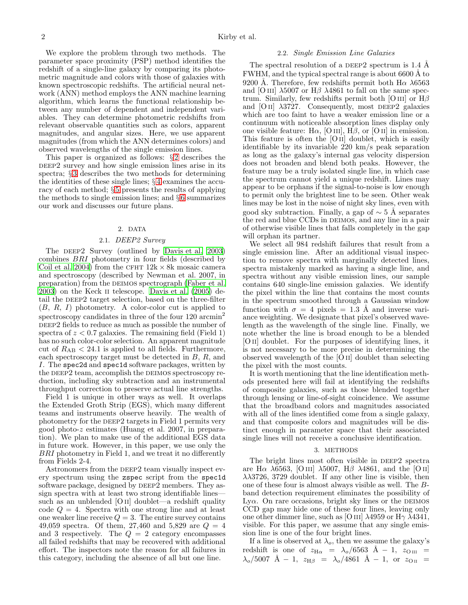We explore the problem through two methods. The parameter space proximity (PSP) method identifies the redshift of a single-line galaxy by comparing its photometric magnitude and colors with those of galaxies with known spectroscopic redshifts. The artificial neural network (ANN) method employs the ANN machine learning algorithm, which learns the functional relationship between any number of dependent and independent variables. They can determine photometric redshifts from relevant observable quantities such as colors, apparent magnitudes, and angular sizes. Here, we use apparent magnitudes (from which the ANN determines colors) and observed wavelengths of the single emission lines.

This paper is organized as follows: § [2](#page-1-0) describes the DEEP2 survey and how single emission lines arise in its spectra; § [3](#page-1-1) describes the two methods for determining the identities of these single lines; § [4](#page-4-0) examines the accuracy of each method; § [5](#page-6-0) presents the results of applying the methods to single emission lines; and  $\S 6$  $\S 6$  summarizes our work and discusses our future plans.

### 2. DATA

## 2.1. DEEP2 Survey

<span id="page-1-0"></span>The DEEP2 Survey (outlined by [Davis et al. 2003](#page-10-2)) combines BRI photometry in four fields (described by [Coil et al. 2004\)](#page-10-6) from the CFHT  $12k \times 8k$  mosaic camera and spectroscopy (described by Newman et al. 2007, in preparation) from the deimos spectrograph [\(Faber et al.](#page-10-7) [2003\)](#page-10-7) on the Keck ii telescope. [Davis et al. \(2005\)](#page-10-8) detail the DEEP2 target selection, based on the three-filter  $(B, R, I)$  photometry. A color-color cut is applied to spectroscopy candidates in three of the four  $120 \text{ arcmin}^2$ DEEP2 fields to reduce as much as possible the number of spectra of  $z < 0.7$  galaxies. The remaining field (Field 1) has no such color-color selection. An apparent magnitude cut of  $R_{AB}$  < 24.1 is applied to all fields. Furthermore, each spectroscopy target must be detected in B, R, and I. The spec2d and spec1d software packages, written by the DEEP2 team, accomplish the DEIMOS spectroscopy reduction, including sky subtraction and an instrumental throughput correction to preserve actual line strengths.

Field 1 is unique in other ways as well. It overlaps the Extended Groth Strip (EGS), which many different teams and instruments observe heavily. The wealth of photometry for the DEEP2 targets in Field 1 permits very good photo-z estimates (Huang et al. 2007, in preparation). We plan to make use of the additional EGS data in future work. However, in this paper, we use only the BRI photometry in Field 1, and we treat it no differently from Fields 2-4.

Astronomers from the DEEP2 team visually inspect every spectrum using the zspec script from the spec1d software package, designed by DEEP2 members. They assign spectra with at least two strong identifiable lines such as an unblended [O II] doublet—a redshift quality code  $Q = 4$ . Spectra with one strong line and at least one weaker line receive  $Q = 3$ . The entire survey contains 49,059 spectra. Of them, 27,460 and 5,829 are  $Q = 4$ and 3 respectively. The  $Q = 2$  category encompasses all failed redshifts that may be recovered with additional effort. The inspectors note the reason for all failures in this category, including the absence of all but one line.

### 2.2. Single Emission Line Galaxies

<span id="page-1-2"></span>The spectral resolution of a DEEP2 spectrum is 1.4 A FWHM, and the typical spectral range is about 6600 Å to 9200 Å. Therefore, few redshifts permit both  $H\alpha \lambda 6563$ and [O III]  $\lambda$ 5007 or H $\beta$   $\lambda$ 4861 to fall on the same spectrum. Similarly, few redshifts permit both [O III] or  $H\beta$ and [O II]  $\lambda$ 3727. Consequently, most DEEP2 galaxies which are too faint to have a weaker emission line or a continuum with noticeable absorption lines display only one visible feature: H $\alpha$ , [O III], H $\beta$ , or [O II] in emission. This feature is often the [O ii] doublet, which is easily identifiable by its invariable 220 km/s peak separation as long as the galaxy's internal gas velocity dispersion does not broaden and blend both peaks. However, the feature may be a truly isolated single line, in which case the spectrum cannot yield a unique redshift. Lines may appear to be orphans if the signal-to-noise is low enough to permit only the brightest line to be seen. Other weak lines may be lost in the noise of night sky lines, even with good sky subtraction. Finally, a gap of  $\sim$  5 Å separates the red and blue CCDs in DEIMOS, and any line in a pair of otherwise visible lines that falls completely in the gap will orphan its partner.

We select all 984 redshift failures that result from a single emission line. After an additional visual inspection to remove spectra with marginally detected lines, spectra mistakenly marked as having a single line, and spectra without any visible emission lines, our sample contains 640 single-line emission galaxies. We identify the pixel within the line that contains the most counts in the spectrum smoothed through a Gaussian window function with  $\sigma = 4$  pixels = 1.3 Å and inverse variance weighting. We designate that pixel's observed wavelength as the wavelength of the single line. Finally, we note whether the line is broad enough to be a blended [O ii] doublet. For the purposes of identifying lines, it is not necessary to be more precise in determining the observed wavelength of the [O ii] doublet than selecting the pixel with the most counts.

It is worth mentioning that the line identification methods presented here will fail at identifying the redshifts of composite galaxies, such as those blended together through lensing or line-of-sight coincidence. We assume that the broadband colors and magnitudes associated with all of the lines identified come from a single galaxy, and that composite colors and magnitudes will be distinct enough in parameter space that their associated single lines will not receive a conclusive identification.

#### 3. METHODS

<span id="page-1-1"></span>The bright lines most often visible in DEEP2 spectra are H $\alpha$   $\lambda$ 6563, [O III]  $\lambda$ 5007, H $\beta$   $\lambda$ 4861, and the [O II]  $\lambda$  $\lambda$ 3726, 3729 doublet. If any other line is visible, then one of these four is almost always visible as well. The Bband detection requirement eliminates the possibility of Ly $\alpha$ . On rare occasions, bright sky lines or the DEIMOS CCD gap may hide one of these four lines, leaving only one other dimmer line, such as [O III]  $\lambda$ 4959 or H $\gamma$   $\lambda$ 4341, visible. For this paper, we assume that any single emission line is one of the four bright lines.

If a line is observed at  $\lambda_o$ , then we assume the galaxy's redshift is one of  $z_{\text{H}\alpha} = \lambda_o/6563$  Å – 1,  $z_{\text{OIII}}$  =  $\lambda_{\rm o}/5007$  Å – 1,  $z_{\rm H\beta}$  =  $\lambda_{\rm o}/4861$  Å – 1, or  $z_{\rm O\,II}$  =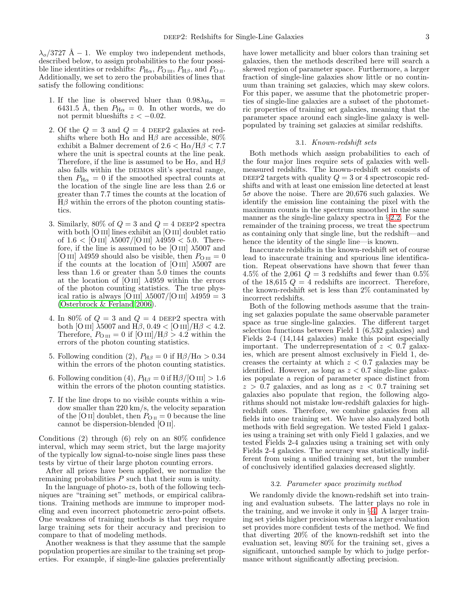$\lambda_{o}/3727$  Å – 1. We employ two independent methods, described below, to assign probabilities to the four possible line identities or redshifts:  $P_{\text{H}\alpha}$ ,  $P_{\text{O\,{\tiny III}}}, P_{\text{H}\beta}$ , and  $P_{\text{O\,{\tiny II}}}.$ Additionally, we set to zero the probabilities of lines that satisfy the following conditions:

- 1. If the line is observed bluer than  $0.98\lambda_{H\alpha}$  = 6431.5 Å, then  $P_{\text{H}\alpha} = 0$ . In other words, we do not permit blueshifts  $z < -0.02$ .
- 2. Of the  $Q = 3$  and  $Q = 4$  DEEP2 galaxies at redshifts where both H $\alpha$  and H $\beta$  are accessible, 80% exhibit a Balmer decrement of  $2.6 < \text{H}\alpha/\text{H}\beta < 7.7$ where the unit is spectral counts at the line peak. Therefore, if the line is assumed to be  $H\alpha$ , and  $H\beta$ also falls within the DEIMOS slit's spectral range, then  $P_{\text{H}\alpha} = 0$  if the smoothed spectral counts at the location of the single line are less than 2.6 or greater than 7.7 times the counts at the location of  $H\beta$  within the errors of the photon counting statistics.
- 3. Similarly, 80% of  $Q = 3$  and  $Q = 4$  DEEP2 spectra with both [O III] lines exhibit an [O III] doublet ratio of  $1.6 <$  [O III]  $\lambda$ 5007/[O III]  $\lambda$ 4959  $<$  5.0. Therefore, if the line is assumed to be [O III]  $\lambda$ 5007 and [O III]  $\lambda$ 4959 should also be visible, then  $P_{\text{O III}} = 0$ if the counts at the location of [O III]  $\lambda$ 5007 are less than 1.6 or greater than 5.0 times the counts at the location of [O III]  $\lambda$ 4959 within the errors of the photon counting statistics. The true physical ratio is always [O III]  $\lambda$ 5007/[O III]  $\lambda$ 4959 = 3 [\(Osterbrock & Ferland 2006\)](#page-10-9).
- 4. In 80% of  $Q = 3$  and  $Q = 4$  DEEP2 spectra with both [O III]  $\lambda$ 5007 and H $\beta$ , 0.49 < [O III]/H $\beta$  < 4.2. Therefore,  $P_{\text{O III}} = 0$  if  $\text{[O III]/H}\beta > 4.2$  within the errors of the photon counting statistics.
- 5. Following condition (2),  $P_{\rm H\beta} = 0$  if  $\rm H\beta/H\alpha > 0.34$ within the errors of the photon counting statistics.
- 6. Following condition (4),  $P_{\text{H}\beta} = 0$  if  $\text{H}\beta/[\text{O}\text{III}] > 1.6$ within the errors of the photon counting statistics.
- 7. If the line drops to no visible counts within a window smaller than 220 km/s, the velocity separation of the [O ii] doublet, then  $P_{O II} = 0$  because the line cannot be dispersion-blended [O ii].

Conditions (2) through (6) rely on an 80% confidence interval, which may seem strict, but the large majority of the typically low signal-to-noise single lines pass these tests by virtue of their large photon counting errors.

After all priors have been applied, we normalize the remaining probabilities  $P$  such that their sum is unity.

In the language of photo-zs, both of the following techniques are "training set" methods, or empirical calibrations. Training methods are immune to improper modeling and even incorrect photometric zero-point offsets. One weakness of training methods is that they require large training sets for their accuracy and precision to compare to that of modeling methods.

Another weakness is that they assume that the sample population properties are similar to the training set properties. For example, if single-line galaxies preferentially

have lower metallicity and bluer colors than training set galaxies, then the methods described here will search a skewed region of parameter space. Furthermore, a larger fraction of single-line galaxies show little or no continuum than training set galaxies, which may skew colors. For this paper, we assume that the photometric properties of single-line galaxies are a subset of the photometric properties of training set galaxies, meaning that the parameter space around each single-line galaxy is wellpopulated by training set galaxies at similar redshifts.

### 3.1. Known-redshift sets

<span id="page-2-1"></span>Both methods which assign probabilities to each of the four major lines require sets of galaxies with wellmeasured redshifts. The known-redshift set consists of DEEP2 targets with quality  $Q = 3$  or 4 spectroscopic redshifts and with at least one emission line detected at least  $5\sigma$  above the noise. There are 20,676 such galaxies. We identify the emission line containing the pixel with the maximum counts in the spectrum smoothed in the same manner as the single-line galaxy spectra in § [2.2.](#page-1-2) For the remainder of the training process, we treat the spectrum as containing only that single line, but the redshift—and hence the identity of the single line—is known.

Inaccurate redshifts in the known-redshift set of course lead to inaccurate training and spurious line identification. Repeat observations have shown that fewer than 4.5% of the 2,061  $Q = 3$  redshifts and fewer than 0.5% of the 18,615  $Q = 4$  redshifts are incorrect. Therefore, the known-redshift set is less than 2% contaminated by incorrect redshifts.

Both of the following methods assume that the training set galaxies populate the same observable parameter space as true single-line galaxies. The different target selection functions between Field 1 (6,532 galaxies) and Fields 2-4 (14,144 galaxies) make this point especially important. The underrepresentation of  $z < 0.7$  galaxies, which are present almost exclusively in Field 1, decreases the certainty at which  $z < 0.7$  galaxies may be identified. However, as long as  $z < 0.7$  single-line galaxies populate a region of parameter space distinct from  $z > 0.7$  galaxies, and as long as  $z < 0.7$  training set galaxies also populate that region, the following algorithms should not mistake low-redshift galaxies for highredshift ones. Therefore, we combine galaxies from all fields into one training set. We have also analyzed both methods with field segregation. We tested Field 1 galaxies using a training set with only Field 1 galaxies, and we tested Fields 2-4 galaxies using a training set with only Fields 2-4 galaxies. The accuracy was statistically indifferent from using a unified training set, but the number of conclusively identified galaxies decreased slightly.

#### 3.2. Parameter space proximity method

<span id="page-2-0"></span>We randomly divide the known-redshift set into training and evaluation subsets. The latter plays no role in the training, and we invoke it only in  $\S 4$ . A larger training set yields higher precision whereas a larger evaluation set provides more confident tests of the method. We find that diverting 20% of the known-redshift set into the evaluation set, leaving 80% for the training set, gives a significant, untouched sample by which to judge performance without significantly affecting precision.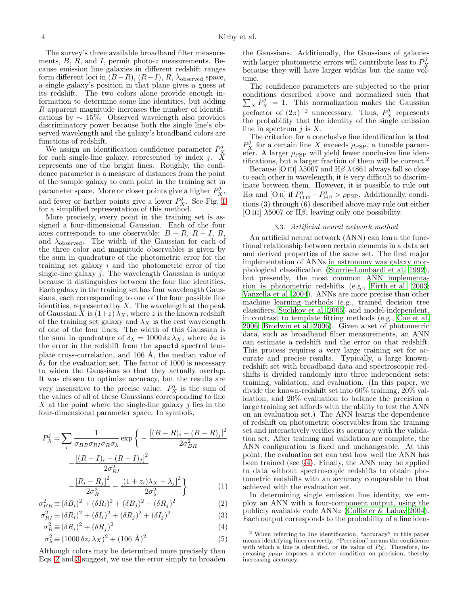The survey's three available broadband filter measurements,  $B$ ,  $R$ , and  $I$ , permit photo- $z$  measurements. Because emission line galaxies in different redshift ranges form different loci in  $(B-R)$ ,  $(R-I)$ ,  $R$ ,  $\lambda_{\text{observed}}$  space, a single galaxy's position in that plane gives a guess at its redshift. The two colors alone provide enough information to determine some line identities, but adding R apparent magnitude increases the number of identifications by  $\sim 15\%$ . Observed wavelength also provides discriminatory power because both the single line's observed wavelength and the galaxy's broadband colors are functions of redshift.

We assign an identification confidence parameter  $P_X^j$  for each single-line galaxy, represented by index j. X represents one of the bright lines. Roughly, the confidence parameter is a measure of distances from the point of the sample galaxy to each point in the training set in parameter space. More or closer points give a higher  $P_X^j$ , and fewer or farther points give a lower  $P_X^j$ . See Fig. [1](#page-4-1) for a simplified representation of this method.

More precisely, every point in the training set is assigned a four-dimensional Gaussian. Each of the four axes corresponds to one observable:  $B - R$ ,  $R - I$ ,  $R$ , and  $\lambda_{\text{observed}}$ . The width of the Gaussian for each of the three color and magnitude observables is given by the sum in quadrature of the photometric error for the training set galaxy i and the photometric error of the single-line galaxy  $j$ . The wavelength Gaussian is unique because it distinguishes between the four line identities. Each galaxy in the training set has four wavelength Gaussians, each corresponding to one of the four possible line identities, represented by  $X$ . The wavelength at the peak of Gaussian X is  $(1+z)\lambda_X$ , where z is the known redshift of the training set galaxy and  $\lambda_X$  is the rest wavelength of one of the four lines. The width of this Gaussian is the sum in quadrature of  $\delta_{\lambda} = 1000 \delta z \lambda_X$ , where  $\delta z$  is the error in the redshift from the spec1d spectral template cross-correlation, and  $106 \text{ Å}$ , the median value of  $\delta_{\lambda}$  for the evaluation set. The factor of 1000 is necessary to widen the Gaussians so that they actually overlap. It was chosen to optimize accuracy, but the results are very insensitive to the precise value.  $P_X^j$  is the sum of the values of all of these Gaussians corresponding to line X at the point where the single-line galaxy  $i$  lies in the four-dimensional parameter space. In symbols,

<span id="page-3-0"></span>
$$
P_X^j = \sum_i \frac{1}{\sigma_{BR} \sigma_{RI} \sigma_R \sigma_{\lambda}} \exp \left\{ -\frac{[(B - R)_i - (B - R)_j]^2}{2\sigma_{BR}^2} - \frac{[(R - I)_i - (R - I)_j]^2}{2\sigma_{RI}^2} - \frac{[R_i - R_j]^2}{2\sigma_{\lambda}^2} - \frac{[(1 + z_i)\lambda_X - \lambda_j]^2}{2\sigma_{\lambda}^2} \right\}
$$
(1)

$$
a_{3R} \equiv (\delta B_i)^2 + (\delta R_i)^2 + (\delta B_j)^2 + (\delta R_j)^2 \tag{1}
$$

$$
\sigma_{BR}^2 \equiv (\delta B_i)^2 + (\delta R_i)^2 + (\delta B_j)^2 + (\delta R_j)^2
$$
\n
$$
\sigma_{RI}^2 \equiv (\delta R_i)^2 + (\delta I_i)^2 + (\delta R_j)^2 + (\delta I_j)^2
$$
\n(3)

$$
\sigma_R^2 \equiv (\delta R_i)^2 + (\delta R_j)^2 \tag{4}
$$

$$
\sigma_{\lambda}^{2} \equiv (1000 \,\delta z_i \,\lambda_X)^2 + (106 \,\text{\AA})^2 \tag{5}
$$

Although colors may be determined more precisely than Eqs. [2](#page-3-0) and [3](#page-3-0) suggest, we use the error simply to broaden the Gaussians. Additionally, the Gaussians of galaxies with larger photometric errors will contribute less to  $P_X^j$ because they will have larger widths but the same volume.

The confidence parameters are subjected to the prior conditions described above and normalized such that  $\sum_{X} P_{X}^{j} = 1$ . This normalization makes the Gaussian prefactor of  $(2\pi)^{-2}$  unnecessary. Thus,  $P_X^j$  represents the probability that the identity of the single emission line in spectrum  $i$  is  $X$ .

The criterion for a conclusive line identification is that  $P_X^j$  for a certain line X exceeds  $\rho_{\text{PSP}}$ , a tunable parameter. A larger  $\rho_{\text{PSP}}$  will yield fewer conclusive line identifications, but a larger fraction of them will be correct.<sup>2</sup>

Because [O III]  $\lambda$ 5007 and H $\beta$   $\lambda$ 4861 always fall so close to each other in wavelength, it is very difficult to discriminate between them. However, it is possible to rule out H $\alpha$  and [O ii] if  $P_{\text{O \,III}}^{j} + P_{\text{H}\beta}^{j} > \rho_{\text{PSP}}$ . Additionally, conditions (3) through (6) described above may rule out either [O III]  $\lambda$ 5007 or H $\beta$ , leaving only one possibility.

### 3.3. Artificial neural network method

An artificial neural network (ANN) can learn the functional relationship between certain elements in a data set and derived properties of the same set. The first major implementation of ANNs in astronomy was galaxy morphological classification [\(Storrie-Lombardi et al. 1992](#page-10-10)), but presently, the most common ANN implementation is photometric redshifts (e.g., [Firth et al. 2003](#page-10-11); [Vanzella et al. 2004\)](#page-10-12). ANNs are more precise than other machine learning methods (e.g., trained decision tree classifiers, [Suchkov et al. 2005\)](#page-10-13) and model-independent, in contrast to template fitting methods (e.g., [Coe et al.](#page-10-14) [2006;](#page-10-14) [Brodwin et al. 2006\)](#page-10-15). Given a set of photometric data, such as broadband filter measurements, an ANN can estimate a redshift and the error on that redshift. This process requires a very large training set for accurate and precise results. Typically, a large knownredshift set with broadband data and spectroscopic redshifts is divided randomly into three independent sets: training, validation, and evaluation. (In this paper, we divide the known-redshift set into 60% training, 20% validation, and 20% evaluation to balance the precision a large training set affords with the ability to test the ANN on an evaluation set.) The ANN learns the dependence of redshift on photometric observables from the training set and interactively verifies its accuracy with the validation set. After training and validation are complete, the ANN configuration is fixed and unchangeable. At this point, the evaluation set can test how well the ANN has been trained (see  $\S 4$ ). Finally, the ANN may be applied to data without spectroscopic redshifts to obtain photometric redshifts with an accuracy comparable to that achieved with the evaluation set.

In determining single emission line identity, we employ an ANN with a four-component output, using the publicly available code ANNz [\(Collister & Lahav 2004](#page-10-16)). Each output corresponds to the probability of a line iden-

<sup>2</sup> When referring to line identification, "accuracy" in this paper means identifying lines correctly. "Precision" means the confidence with which a line is identified, or its value of  $P_X$ . Therefore, increasing  $\rho_{\mathrm{PSP}}$  imposes a stricter condition on precision, thereby increasing accuracy.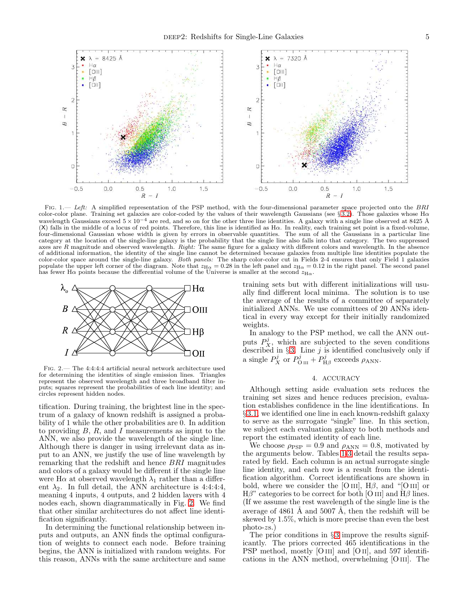

<span id="page-4-1"></span>FIG. 1.— Left: A simplified representation of the PSP method, with the four-dimensional parameter space projected onto the BRI color-color plane. Training set galaxies are color-coded by the values of their wavelength Gaussians (see § [3.2\)](#page-2-0). Those galaxies whose Hα wavelength Gaussians exceed  $5 \times 10^{-4}$  are red, and so on for the other three line identities. A galaxy with a single line observed at 8425 Å (X) falls in the middle of a locus of red points. Therefore, this line is identified as Hα. In reality, each training set point is a fixed-volume, four-dimensional Gaussian whose width is given by errors in observable quantities. The sum of all the Gaussians in a particular line category at the location of the single-line galaxy is the probability that the single line also falls into that category. The two suppressed axes are  $R$  magnitude and observed wavelength. Right: The same figure for a galaxy with different colors and wavelength. In the absence of additional information, the identity of the single line cannot be determined because galaxies from multiple line identities populate the color-color space around the single-line galaxy. Both panels: The sharp color-color cut in Fields 2-4 ensures that only Field 1 galaxies populate the upper left corner of the diagram. Note that  $z_{H\alpha} = 0.28$  in the left panel and  $z_{H\alpha} = 0.12$  in the right panel. The second panel has fewer H $\alpha$  points because the differential volume of the Universe is smaller at the second  $z_{H\alpha}$ .



<span id="page-4-2"></span>Fig. 2.— The 4:4:4:4 artificial neural network architecture used for determining the identities of single emission lines. Triangles represent the observed wavelength and three broadband filter inputs; squares represent the probabilities of each line identity; and circles represent hidden nodes.

tification. During training, the brightest line in the spectrum of a galaxy of known redshift is assigned a probability of 1 while the other probabilities are 0. In addition to providing  $B, R$ , and I measurements as input to the ANN, we also provide the wavelength of the single line. Although there is danger in using irrelevant data as input to an ANN, we justify the use of line wavelength by remarking that the redshift and hence BRI magnitudes and colors of a galaxy would be different if the single line were H $\alpha$  at observed wavelength  $\lambda_1$  rather than a different  $\lambda_2$ . In full detail, the ANN architecture is 4:4:4:4, meaning 4 inputs, 4 outputs, and 2 hidden layers with 4 nodes each, shown diagrammatically in Fig. [2.](#page-4-2) We find that other similar architectures do not affect line identification significantly.

In determining the functional relationship between inputs and outputs, an ANN finds the optimal configuration of weights to connect each node. Before training begins, the ANN is initialized with random weights. For this reason, ANNs with the same architecture and same training sets but with different initializations will usually find different local minima. The solution is to use the average of the results of a committee of separately initialized ANNs. We use committees of 20 ANNs identical in every way except for their initially randomized weights.

In analogy to the PSP method, we call the ANN outputs  $P_X^j$ , which are subjected to the seven conditions described in § [3.](#page-1-1) Line  $j$  is identified conclusively only if a single  $P_X^j$  or  $P_{\text{O III}}^j + P_{\text{H}\beta}^j$  exceeds  $\rho_{\text{ANN}}$ .

### 4. ACCURACY

<span id="page-4-0"></span>Although setting aside evaluation sets reduces the training set sizes and hence reduces precision, evaluation establishes confidence in the line identifications. In § [3.1,](#page-2-1) we identified one line in each known-redshift galaxy to serve as the surrogate "single" line. In this section, we subject each evaluation galaxy to both methods and report the estimated identity of each line.

We choose  $\rho_{\rm PSP} = 0.9$  and  $\rho_{\rm ANN} = 0.8$ , motivated by the arguments below. Tables [1-](#page-5-0)[3](#page-5-1) detail the results separated by field. Each column is an actual surrogate single line identity, and each row is a result from the identification algorithm. Correct identifications are shown in bold, where we consider the [O III],  $H\beta$ , and "[O III] or  $H\beta$ " categories to be correct for both [O III] and  $H\beta$  lines. (If we assume the rest wavelength of the single line is the average of  $4861 \text{ Å}$  and  $5007 \text{ Å}$ , then the redshift will be skewed by 1.5%, which is more precise than even the best photo-zs.)

The prior conditions in  $\S 3$  $\S 3$  improve the results significantly. The priors corrected 465 identifications in the PSP method, mostly [O III] and [O II], and 597 identifications in the ANN method, overwhelming [O iii]. The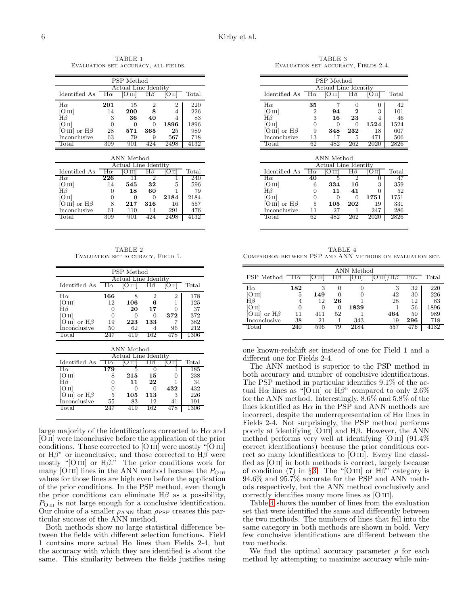<span id="page-5-0"></span>TABLE 1 Evaluation set accuracy, all fields.

| PSP Method                   |                      |                  |          |      |                |  |  |  |  |
|------------------------------|----------------------|------------------|----------|------|----------------|--|--|--|--|
|                              | Actual Line Identity |                  |          |      |                |  |  |  |  |
| Identified As                | $H\alpha$            | O <sub>III</sub> | Нβ       |      | $_{\rm Total}$ |  |  |  |  |
| $H\alpha$                    | 201                  | 15               | 2        | 2    | 220            |  |  |  |  |
| [O III]                      | 14                   | 200              | 8        |      | 226            |  |  |  |  |
| Нβ                           | 3                    | 36               | 40       |      | 83             |  |  |  |  |
| O II                         | 0                    | $\mathbf{0}$     | $\theta$ | 1896 | 1896           |  |  |  |  |
| $ O\text{ III} $ or $H\beta$ | 28                   | 571              | 365      | 25   | 989            |  |  |  |  |
| Inconclusive                 | 63                   | 79               | g        | 567  | 718            |  |  |  |  |
|                              | 309                  |                  |          | 2498 |                |  |  |  |  |

| ANN Method          |                      |       |          |      |       |  |  |  |
|---------------------|----------------------|-------|----------|------|-------|--|--|--|
|                     | Actual Line Identity |       |          |      |       |  |  |  |
| Identified As       | Нα                   | ) III |          |      | Total |  |  |  |
| $H\alpha$           | 226                  |       | າ        |      | 240   |  |  |  |
| [O III]             | 14                   | 545   | 32       | 5    | 596   |  |  |  |
| ${ {\rm H}{\beta}}$ | 0                    | 18    | 60       |      | 79    |  |  |  |
| IO II               | $\mathbf{0}$         | 0     | $\theta$ | 2184 | 2184  |  |  |  |
| O III or $H\beta$   | 8                    | 217   | 316      | 16   | 557   |  |  |  |
| Inconclusive        | 61                   | 110   | 14       | 291  | 476   |  |  |  |
| Total               | 30.Y                 |       |          | 2498 | 4132  |  |  |  |

TABLE 2 Evaluation set accuracy, Field 1.

| <b>PSP</b> Method             |           |                      |              |     |       |  |  |  |
|-------------------------------|-----------|----------------------|--------------|-----|-------|--|--|--|
|                               |           | Actual Line Identity |              |     |       |  |  |  |
| Identified As                 | $H\alpha$ |                      |              |     | Total |  |  |  |
| $H\alpha$                     | 166       |                      | 2            | 2   | 178   |  |  |  |
| $\rm [O\,{\scriptstyle III}]$ | 12        | 106                  | 6            |     | 125   |  |  |  |
| Нβ                            | 0         | 20                   | 17           |     | 37    |  |  |  |
| O II                          | 0         | 0                    | $\mathbf{0}$ | 372 | 372   |  |  |  |
| [O III] or $H\beta$           | 19        | 223                  | 133          |     | 382   |  |  |  |
| Inconclusive                  | 50        | 62                   |              | 96  | 212   |  |  |  |
| Total                         |           | 41 Q                 | 162          |     | 1306  |  |  |  |

| ANN Method           |           |              |     |     |       |  |  |  |
|----------------------|-----------|--------------|-----|-----|-------|--|--|--|
| Actual Line Identity |           |              |     |     |       |  |  |  |
| Identified As        | $H\alpha$ |              |     |     | Total |  |  |  |
| Нα                   | 179       |              |     |     | 185   |  |  |  |
| [O III]              | 8         | $^{215}$     | 15  |     | 238   |  |  |  |
| $_{\rm H\beta}$      |           | 11           | 22  |     | 34    |  |  |  |
| O <sub>II</sub>      | $\theta$  | $\mathbf{I}$ | 0   | 432 | 432   |  |  |  |
| O III or $H\beta$    | 5         | 105          | 113 | З   | 226   |  |  |  |
| Inconclusive         | 55        | 83           | 12  | 41  | 191   |  |  |  |
| Total                |           | 19           | 162 |     | 1306  |  |  |  |
|                      |           |              |     |     |       |  |  |  |

large majority of the identifications corrected to  $H\alpha$  and [O ii] were inconclusive before the application of the prior conditions. Those corrected to [O III] were mostly "[O III] or  $H\beta$ " or inconclusive, and those corrected to  $H\beta$  were mostly "[O III] or  $H\beta$ ." The prior conditions work for many  $[O\,\textsc{iii}]$  lines in the ANN method because the  $P_{O\,\textsc{iii}}$ values for those lines are high even before the application of the prior conditions. In the PSP method, even though the prior conditions can eliminate  $H\beta$  as a possibility,  $P_{\text{O \tiny III}}$  is not large enough for a conclusive identification. Our choice of a smaller  $\rho_{ANN}$  than  $\rho_{PSP}$  creates this particular success of the ANN method.

Both methods show no large statistical difference between the fields with different selection functions. Field 1 contains more actual  $H\alpha$  lines than Fields 2-4, but the accuracy with which they are identified is about the same. This similarity between the fields justifies using

<span id="page-5-1"></span>TABLE 3 Evaluation set accuracy, Fields 2-4.

| PSP Method              |    |                                |     |      |       |  |  |  |
|-------------------------|----|--------------------------------|-----|------|-------|--|--|--|
| Identified As $H\alpha$ |    | Actual Line Identity<br> O III |     |      | Total |  |  |  |
| $H\alpha$               | 35 |                                | 0   |      | 42    |  |  |  |
| [O III]                 | 2  | 94                             | 2   | 3    | 101   |  |  |  |
| Нβ                      | 3  | 16                             | 23  | 4    | 46    |  |  |  |
| O <sub>II</sub>         |    |                                | 0   | 1524 | 1524  |  |  |  |
| O III or $H\beta$       | 9  | 348                            | 232 | 18   | 607   |  |  |  |
| Inconclusive            | 13 | 17                             | 5   | 471  | 506   |  |  |  |
| Total                   | 62 | 82                             | 262 |      | 2826  |  |  |  |

| ANN Method           |           |              |     |      |       |  |  |  |
|----------------------|-----------|--------------|-----|------|-------|--|--|--|
| Actual Line Identity |           |              |     |      |       |  |  |  |
| Identified As        | $H\alpha$ | Ош           |     |      | Total |  |  |  |
| $H\alpha$            | 40        |              |     |      |       |  |  |  |
| [O III]              | 6         | 334          | 16  | З    | 359   |  |  |  |
| Нβ                   | 0         | 11           | 41  |      | 52    |  |  |  |
| ſОпl                 | 0         | $\mathbf{0}$ | 0   | 1751 | 1751  |  |  |  |
| [O III] or $H\beta$  | 5         | 105          | 202 | 19   | 331   |  |  |  |
| İnconclusive         | 11        | 27           |     | 247  | 286   |  |  |  |
| Total                | 62        | 482          | 262 | 2020 | 2826  |  |  |  |

<span id="page-5-2"></span>TABLE 4 Comparison between PSP and ANN methods on evaluation set.

|                                 |     | ANN Method       |          |                 |                       |      |                |  |  |  |
|---------------------------------|-----|------------------|----------|-----------------|-----------------------|------|----------------|--|--|--|
| PSP Method $H\alpha$            |     | O <sub>III</sub> | $H\beta$ | O <sub>II</sub> | $\rm  O\,III /H\beta$ | lnc. | $_{\rm Total}$ |  |  |  |
| $H\alpha$                       | 182 | 3                | 0        | 0               | 3                     | 32   | 220            |  |  |  |
| [O III]                         | 5   | 149              | 0        |                 | 42                    | 30   | 226            |  |  |  |
| ${ {\rm H}{\beta}}$             | 4   | 12               | 26       |                 | 28                    | 12   | 83             |  |  |  |
| [O II]                          |     | 0                | $\Omega$ | 1839            |                       | 56   | 1896           |  |  |  |
| or $H\beta$<br>O <sub>III</sub> | 11  | 411              | 52       |                 | 464                   | 50   | 989            |  |  |  |
| Inconclusive                    | 38  | 21               |          | 343             | 19                    | 296  | 718            |  |  |  |
| $_{\rm Total}$                  | 240 | 596              | 79       | 2184            | 557                   | 476  | 4132           |  |  |  |
|                                 |     |                  |          |                 |                       |      |                |  |  |  |

one known-redshift set instead of one for Field 1 and a different one for Fields 2-4.

The ANN method is superior to the PSP method in both accuracy and number of conclusive identifications. The PSP method in particular identifies 9.1% of the actual H $\alpha$  lines as "[O III] or H $\beta$ " compared to only 2.6% for the ANN method. Interestingly, 8.6% and 5.8% of the lines identified as  $H\alpha$  in the PSP and ANN methods are incorrect, despite the underrepresentation of  $H\alpha$  lines in Fields 2-4. Not surprisingly, the PSP method performs poorly at identifying [O III] and  $H\beta$ . However, the ANN method performs very well at identifying  $[O\text{III}]$   $(91.4\%$ correct identifications) because the prior conditions correct so many identifications to [O III]. Every line classified as [O ii] in both methods is correct, largely because of condition (7) in §[3.](#page-1-1) The "[O III] or  $H\beta$ " category is 94.6% and 95.7% accurate for the PSP and ANN methods respectively, but the ANN method conclusively and correctly identifies many more lines as [O III].

Table [4](#page-5-2) shows the number of lines from the evaluation set that were identified the same and differently between the two methods. The numbers of lines that fell into the same category in both methods are shown in bold. Very few conclusive identifications are different between the two methods.

We find the optimal accuracy parameter  $\rho$  for each method by attempting to maximize accuracy while min-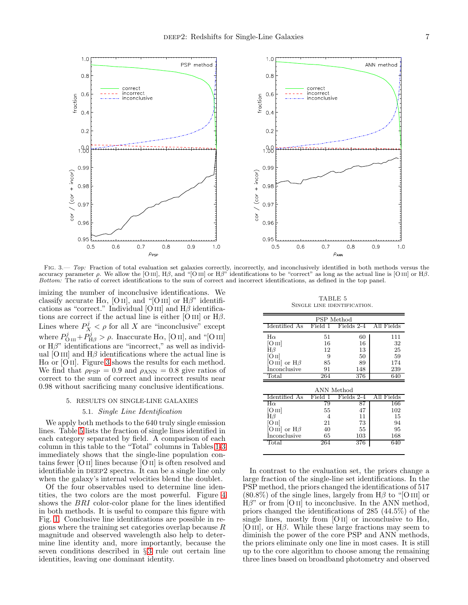

<span id="page-6-1"></span>FIG. 3.— Top: Fraction of total evaluation set galaxies correctly, incorrectly, and inconclusively identified in both methods versus the accuracy parameter ρ. We allow the [O III],  $H\beta$ , and "[O III] or  $H\beta$ " identifications to be "correct" as long as the actual line is [O III] or  $H\beta$ . Bottom: The ratio of correct identifications to the sum of correct and incorrect identifications, as defined in the top panel.

imizing the number of inconclusive identifications. We classify accurate H $\alpha$ , [O ii], and "[O iii] or H $\beta$ " identifications as "correct." Individual [O III] and  $H\beta$  identifications are correct if the actual line is either [O III] or  $H\beta$ . Lines where  $P_X^j < \rho$  for all X are "inconclusive" except where  $P^j_{\text{O III}} + P^j_{\text{H}\beta} > \rho$ . Inaccurate H $\alpha$ , [O II], and "[O III] or  $H\beta$ " identifications are "incorrect," as well as individual [O III] and  $H\beta$  identifications where the actual line is  $H\alpha$  or [O II]. Figure [3](#page-6-1) shows the results for each method. We find that  $\rho_{\text{PSP}} = 0.9$  and  $\rho_{\text{ANN}} = 0.8$  give ratios of correct to the sum of correct and incorrect results near 0.98 without sacrificing many conclusive identifications.

#### 5. RESULTS ON SINGLE-LINE GALAXIES

# 5.1. Single Line Identification

<span id="page-6-0"></span>We apply both methods to the 640 truly single emission lines. Table [5](#page-6-2) lists the fraction of single lines identified in each category separated by field. A comparison of each column in this table to the "Total" columns in Tables [1-](#page-5-0)[3](#page-5-1) immediately shows that the single-line population contains fewer [O ii] lines because [O ii] is often resolved and identifiable in DEEP2 spectra. It can be a single line only when the galaxy's internal velocities blend the doublet.

Of the four observables used to determine line identities, the two colors are the most powerful. Figure [4](#page-7-0) shows the BRI color-color plane for the lines identified in both methods. It is useful to compare this figure with Fig. [1.](#page-4-1) Conclusive line identifications are possible in regions where the training set categories overlap because  $R$ magnitude and observed wavelength also help to determine line identity and, more importantly, because the seven conditions described in § [3](#page-1-1) rule out certain line identities, leaving one dominant identity.

TABLE 5 SINGLE LINE IDENTIFICATION.

<span id="page-6-2"></span>

| PSP Method          |         |            |            |  |  |  |  |  |  |  |
|---------------------|---------|------------|------------|--|--|--|--|--|--|--|
| Identified As       | Field 1 | Fields 2-4 | All Fields |  |  |  |  |  |  |  |
| $H\alpha$           | 51      | 60         | 111        |  |  |  |  |  |  |  |
| [O III]             | 16      | 16         | 32         |  |  |  |  |  |  |  |
| $H\beta$            | 12      | 13         | 25         |  |  |  |  |  |  |  |
| $\rm [O\,II]$       | 9       | 50         | 59         |  |  |  |  |  |  |  |
| [O III] or $H\beta$ | 85      | 89         | 174        |  |  |  |  |  |  |  |
| <i>Inconclusive</i> | 91      | 148        | 239        |  |  |  |  |  |  |  |
| Total               | 264     | 376        | 640        |  |  |  |  |  |  |  |
|                     |         |            |            |  |  |  |  |  |  |  |
|                     |         | ANN Method |            |  |  |  |  |  |  |  |
| Identified As       |         |            |            |  |  |  |  |  |  |  |
|                     | Field   | Fields 2-4 | All Fields |  |  |  |  |  |  |  |
| $_{\rm H\alpha}$    | 79      | 87         | 166        |  |  |  |  |  |  |  |
| [O III]             | 55      | 47         | 102        |  |  |  |  |  |  |  |
| $H\beta$            | 4       | 11         | 15         |  |  |  |  |  |  |  |
| [O II]              | 21      | 73         | 94         |  |  |  |  |  |  |  |
| O III or $H\beta$   | 40      | 55         | 95         |  |  |  |  |  |  |  |
| Inconclusive        | 65      | 103        | 168        |  |  |  |  |  |  |  |

In contrast to the evaluation set, the priors change a large fraction of the single-line set identifications. In the PSP method, the priors changed the identifications of 517  $(80.8\%)$  of the single lines, largely from H $\beta$  to "[O III] or  $H\beta$ " or from [O II] to inconclusive. In the ANN method, priors changed the identifications of 285 (44.5%) of the single lines, mostly from [O II] or inconclusive to  $H\alpha$ , [O III], or  $H\beta$ . While these large fractions may seem to diminish the power of the core PSP and ANN methods, the priors eliminate only one line in most cases. It is still up to the core algorithm to choose among the remaining three lines based on broadband photometry and observed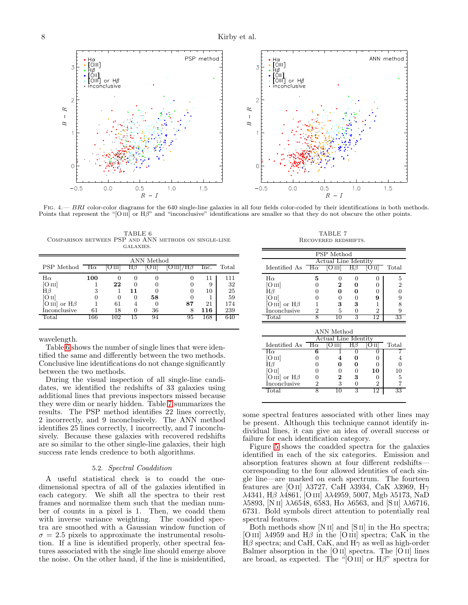PSP method ANN method or  $H\beta$ or  $H\beta$ hclusive inclusive  $\overline{2}$  $\overline{2}$ R  $\approx$  $\overline{1}$  $\overline{1}$  $\overline{B}$  $\overline{B}$  $\circ$ C  $-0.5$  $0.0$  $0.5$  $1.0$  $1.5$  $-0.5$  $0.0$  $0.5$  $1.0$  $1.5$  $\cal R$  $\cal R$ 

<span id="page-7-1"></span>FIG.  $4.-BRI$  color-color diagrams for the 640 single-line galaxies in all four fields color-coded by their identifications in both methods. Points that represent the "[O III] or  $H\beta$ " and "inconclusive" identifications are smaller so that they do not obscure the other points.

<span id="page-7-0"></span>TABLE 6 Comparison between PSP and ANN methods on single-line galaxies.

|                                 |           |          |                  | ANN Method |                       |      |       |
|---------------------------------|-----------|----------|------------------|------------|-----------------------|------|-------|
| PSP Method                      | $H\alpha$ | O III    | Hβ               |            | $\rm  O\,III /H\beta$ | lnc. | Total |
| $H\alpha$                       | 100       |          | $\mathbf{0}$     |            |                       | 11   | 111   |
| Oш                              |           | 22       | $\left( \right)$ |            |                       | 9    | 32    |
| Нβ                              | 3         |          | 11               |            | 0                     | 10   | 25    |
| Oп                              |           | $\theta$ | 0                | 58         |                       |      | 59    |
| or $H\beta$<br>O <sub>III</sub> |           | 61       |                  | 0          | 87                    | 21   | 174   |
| Inconclusive                    | 61        | 18       | $\mathbf{0}$     | 36         | 8                     | 116  | 239   |
| $\text{Total}$                  | 166       | 102      | 15               | 94         | 95                    | 168  | 640   |
|                                 |           |          |                  |            |                       |      |       |

wavelength.

Table [6](#page-7-1) shows the number of single lines that were identified the same and differently between the two methods. Conclusive line identifications do not change significantly between the two methods.

During the visual inspection of all single-line candidates, we identified the redshifts of 33 galaxies using additional lines that previous inspectors missed because they were dim or nearly hidden. Table [7](#page-7-2) summarizes the results. The PSP method identifies 22 lines correctly, 2 incorrectly, and 9 inconclusively. The ANN method identifies 25 lines correctly, 1 incorrectly, and 7 inconclusively. Because these galaxies with recovered redshifts are so similar to the other single-line galaxies, their high success rate lends credence to both algorithms.

## 5.2. Spectral Coaddition

A useful statistical check is to coadd the onedimensional spectra of all of the galaxies identified in each category. We shift all the spectra to their rest frames and normalize them such that the median number of counts in a pixel is 1. Then, we coadd them with inverse variance weighting. The coadded spectra are smoothed with a Gaussian window function of  $\sigma = 2.5$  pixels to approximate the instrumental resolution. If a line is identified properly, other spectral features associated with the single line should emerge above the noise. On the other hand, if the line is misidentified,

TABLE 7 RECOVERED REDSHIFTS.

<span id="page-7-2"></span>

|                         |   | <b>PSP</b> Method |          |      |       |  |  |  |  |
|-------------------------|---|-------------------|----------|------|-------|--|--|--|--|
| Actual Line Identity    |   |                   |          |      |       |  |  |  |  |
| Identified As $H\alpha$ |   | $ O $ $ I $       | $H\beta$ | O 11 | Total |  |  |  |  |
| $H\alpha$               | 5 |                   |          |      | 5     |  |  |  |  |
| [O III]                 |   | 2                 |          |      | 2     |  |  |  |  |
| ${ {\rm H}{\beta}}$     |   |                   |          |      |       |  |  |  |  |
| O II                    |   |                   |          | g    |       |  |  |  |  |
| [O III] or $H\beta$     |   | 3                 | 3        |      |       |  |  |  |  |
| Inconclusive            | 2 | 5                 |          | 2    | 9     |  |  |  |  |
| $_{\rm Total}$          |   | - 11              | २        | 19   | 33    |  |  |  |  |

| ANN Method          |                      |   |   |     |       |  |  |  |  |
|---------------------|----------------------|---|---|-----|-------|--|--|--|--|
|                     | Actual Line Identity |   |   |     |       |  |  |  |  |
| Identified As       | $H\alpha$            |   |   |     | Total |  |  |  |  |
| $\rm\,H\alpha$      | В                    |   |   |     |       |  |  |  |  |
| [O III]             |                      |   |   |     |       |  |  |  |  |
|                     |                      |   |   |     |       |  |  |  |  |
| [O II]              |                      |   |   | 10  | 10    |  |  |  |  |
| [O III] or $H\beta$ |                      | 2 | 3 |     | 5     |  |  |  |  |
| <i>Inconclusive</i> | 2                    | 3 |   | 2   |       |  |  |  |  |
| Total               |                      |   |   | ر·ı | 33    |  |  |  |  |
|                     |                      |   |   |     |       |  |  |  |  |

some spectral features associated with other lines may be present. Although this technique cannot identify individual lines, it can give an idea of overall success or failure for each identification category.

Figure [5](#page-9-0) shows the coadded spectra for the galaxies identified in each of the six categories. Emission and absorption features shown at four different redshifts corresponding to the four allowed identities of each single line—are marked on each spectrum. The fourteen features are [O II]  $\lambda$ 3727, CaH  $\lambda$ 3934, CaK  $\lambda$ 3969, H $\gamma$ λ4341, Ηβ λ4861, [O III]  $\lambda\lambda$ 4959, 5007, Mgb  $\lambda$ 5173, NaD λ5893, [N II]  $\lambda\lambda$ 6548, 6583, Hα  $\lambda$ 6563, and [S II]  $\lambda\lambda$ 6716, 6731. Bold symbols direct attention to potentially real spectral features.

Both methods show [N II] and [S II] in the H $\alpha$  spectra; [O III]  $\lambda$ 4959 and H $\beta$  in the [O III] spectra; CaK in the  $H\beta$  spectra; and CaH, CaK, and  $H\gamma$  as well as high-order Balmer absorption in the [O II] spectra. The [O II] lines are broad, as expected. The "[O III] or  $H\beta$ " spectra for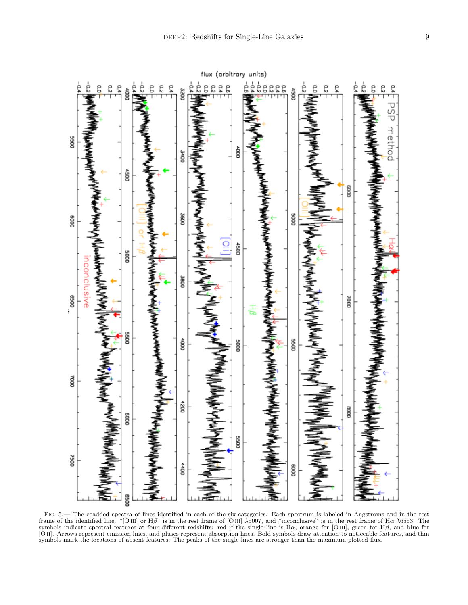

Fig. 5.— The coadded spectra of lines identified in each of the six categories. Each spectrum is labeled in Angstroms and in the rest frame of the identified line. "[O III] or  $H\beta$ " is in the rest frame of [O III]  $\lambda$ 5007, and "inconclusive" is in the rest frame of  $H\alpha \lambda$ 6563. The symbols indicate spectral features at four different redshifts: red if the single line is Hα, orange for [O iii], green for Hβ, and blue for [O ii]. Arrows represent emission lines, and pluses represent absorption lines. Bold symbols draw attention to noticeable features, and thin symbols mark the locations of absent features. The peaks of the single lines are stronger than the maximum plotted flux.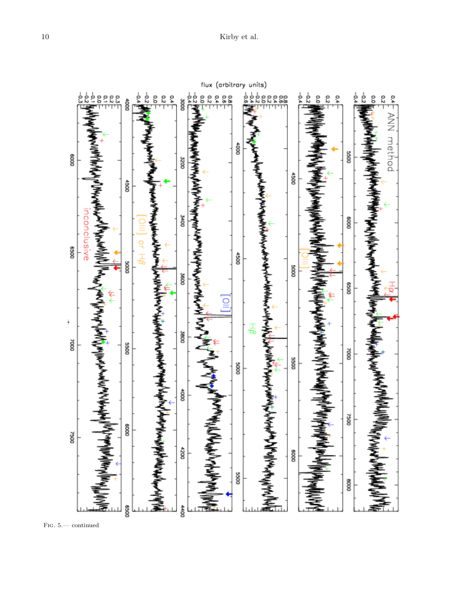

<span id="page-9-0"></span>Fig. 5.— continued